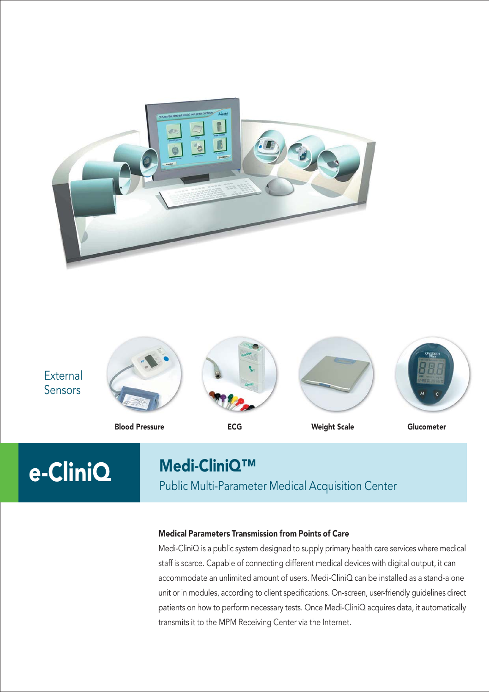





Public Multi-Parameter Medical Acquisition Center

### Medical Parameters Transmission from Points of Care

Medi-CliniQ is a public system designed to supply primary health care services where medical staff is scarce. Capable of connecting different medical devices with digital output, it can accommodate an unlimited amount of users. Medi-CliniQ can be installed as a stand-alone unit or in modules, according to client specifications. On-screen, user-friendly guidelines direct patients on how to perform necessary tests. Once Medi-CliniQ acquires data, it automatically transmits it to the MPM Receiving Center via the Internet.